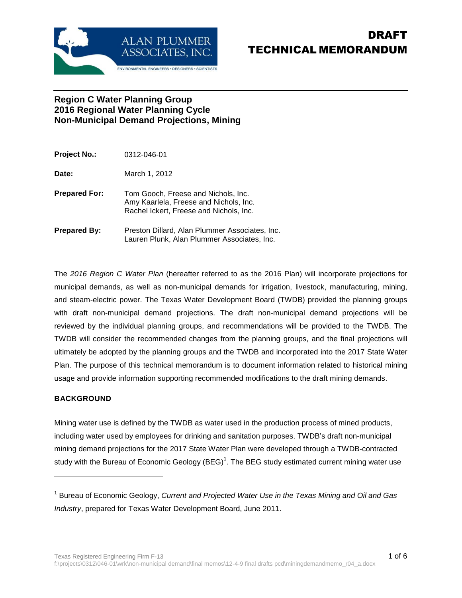

## **Region C Water Planning Group 2016 Regional Water Planning Cycle Non-Municipal Demand Projections, Mining**

| Project No.:  | 0312-046-01                                                                                                              |
|---------------|--------------------------------------------------------------------------------------------------------------------------|
| Date:         | March 1, 2012                                                                                                            |
| Prepared For: | Tom Gooch, Freese and Nichols, Inc.<br>Amy Kaarlela, Freese and Nichols, Inc.<br>Rachel Ickert, Freese and Nichols, Inc. |
| Prepared By:  | Preston Dillard, Alan Plummer Associates, Inc.<br>Lauren Plunk, Alan Plummer Associates, Inc.                            |

The 2016 Region C Water Plan (hereafter referred to as the 2016 Plan) will incorporate projections for municipal demands, as well as non-municipal demands for irrigation, livestock, manufacturing, mining, and steam-electric power. The Texas Water Development Board (TWDB) provided the planning groups with draft non-municipal demand projections. The draft non-municipal demand projections will be reviewed by the individual planning groups, and recommendations will be provided to the TWDB. The TWDB will consider the recommended changes from the planning groups, and the final projections will ultimately be adopted by the planning groups and the TWDB and incorporated into the 2017 State Water Plan. The purpose of this technical memorandum is to document information related to historical mining usage and provide information supporting recommended modifications to the draft mining demands.

### **BACKGROUND**

1

Mining water use is defined by the TWDB as water used in the production process of mined products, including water used by employees for drinking and sanitation purposes. TWDB's draft non-municipal mining demand projections for the 2017 State Water Plan were developed through a TWDB-contracted study with the Bureau of Economic Geology (BEG)<sup>1</sup>. The BEG study estimated current mining water use

<sup>&</sup>lt;sup>1</sup> Bureau of Economic Geology, Current and Projected Water Use in the Texas Mining and Oil and Gas Industry, prepared for Texas Water Development Board, June 2011.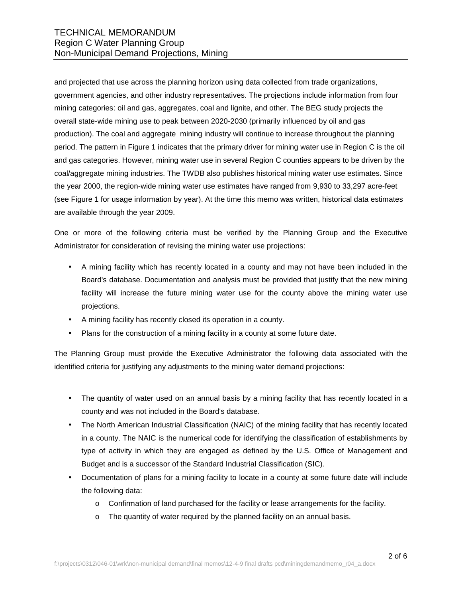and projected that use across the planning horizon using data collected from trade organizations, government agencies, and other industry representatives. The projections include information from four mining categories: oil and gas, aggregates, coal and lignite, and other. The BEG study projects the overall state-wide mining use to peak between 2020-2030 (primarily influenced by oil and gas production). The coal and aggregate mining industry will continue to increase throughout the planning period. The pattern in Figure 1 indicates that the primary driver for mining water use in Region C is the oil and gas categories. However, mining water use in several Region C counties appears to be driven by the coal/aggregate mining industries. The TWDB also publishes historical mining water use estimates. Since the year 2000, the region-wide mining water use estimates have ranged from 9,930 to 33,297 acre-feet (see Figure 1 for usage information by year). At the time this memo was written, historical data estimates are available through the year 2009.

One or more of the following criteria must be verified by the Planning Group and the Executive Administrator for consideration of revising the mining water use projections:

- A mining facility which has recently located in a county and may not have been included in the Board's database. Documentation and analysis must be provided that justify that the new mining facility will increase the future mining water use for the county above the mining water use projections.
- A mining facility has recently closed its operation in a county.
- Plans for the construction of a mining facility in a county at some future date.

The Planning Group must provide the Executive Administrator the following data associated with the identified criteria for justifying any adjustments to the mining water demand projections:

- The quantity of water used on an annual basis by a mining facility that has recently located in a county and was not included in the Board's database.
- The North American Industrial Classification (NAIC) of the mining facility that has recently located in a county. The NAIC is the numerical code for identifying the classification of establishments by type of activity in which they are engaged as defined by the U.S. Office of Management and Budget and is a successor of the Standard Industrial Classification (SIC).
- Documentation of plans for a mining facility to locate in a county at some future date will include the following data:
	- o Confirmation of land purchased for the facility or lease arrangements for the facility.
	- o The quantity of water required by the planned facility on an annual basis.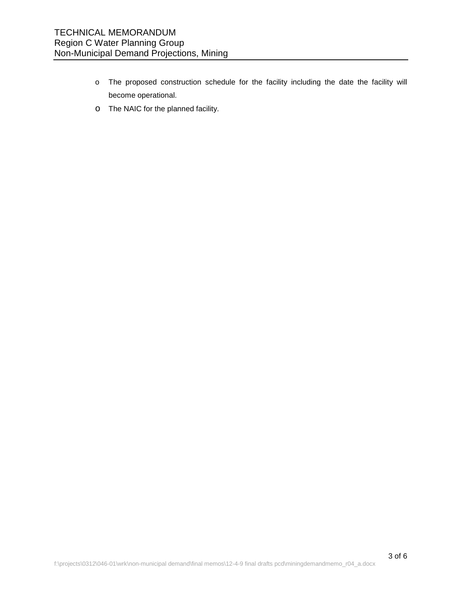- o The proposed construction schedule for the facility including the date the facility will become operational.
- o The NAIC for the planned facility.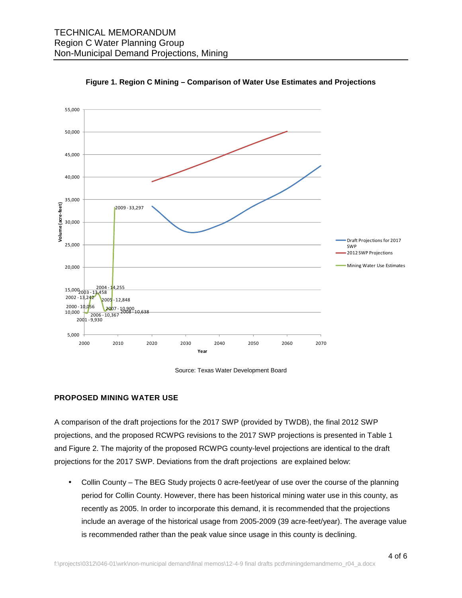



Source: Texas Water Development Board

#### **PROPOSED MINING WATER USE**

A comparison of the draft projections for the 2017 SWP (provided by TWDB), the final 2012 SWP projections, and the proposed RCWPG revisions to the 2017 SWP projections is presented in Table 1 and Figure 2. The majority of the proposed RCWPG county-level projections are identical to the draft projections for the 2017 SWP. Deviations from the draft projections are explained below:

• Collin County – The BEG Study projects 0 acre-feet/year of use over the course of the planning period for Collin County. However, there has been historical mining water use in this county, as recently as 2005. In order to incorporate this demand, it is recommended that the projections include an average of the historical usage from 2005-2009 (39 acre-feet/year). The average value is recommended rather than the peak value since usage in this county is declining.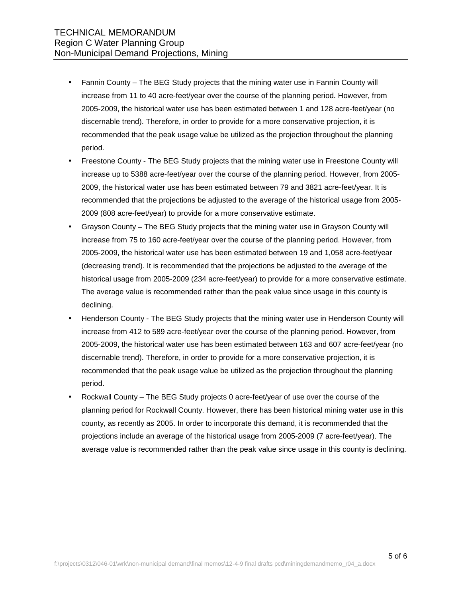- Fannin County The BEG Study projects that the mining water use in Fannin County will increase from 11 to 40 acre-feet/year over the course of the planning period. However, from 2005-2009, the historical water use has been estimated between 1 and 128 acre-feet/year (no discernable trend). Therefore, in order to provide for a more conservative projection, it is recommended that the peak usage value be utilized as the projection throughout the planning period.
- Freestone County The BEG Study projects that the mining water use in Freestone County will increase up to 5388 acre-feet/year over the course of the planning period. However, from 2005- 2009, the historical water use has been estimated between 79 and 3821 acre-feet/year. It is recommended that the projections be adjusted to the average of the historical usage from 2005- 2009 (808 acre-feet/year) to provide for a more conservative estimate.
- Grayson County The BEG Study projects that the mining water use in Grayson County will increase from 75 to 160 acre-feet/year over the course of the planning period. However, from 2005-2009, the historical water use has been estimated between 19 and 1,058 acre-feet/year (decreasing trend). It is recommended that the projections be adjusted to the average of the historical usage from 2005-2009 (234 acre-feet/year) to provide for a more conservative estimate. The average value is recommended rather than the peak value since usage in this county is declining.
- Henderson County The BEG Study projects that the mining water use in Henderson County will increase from 412 to 589 acre-feet/year over the course of the planning period. However, from 2005-2009, the historical water use has been estimated between 163 and 607 acre-feet/year (no discernable trend). Therefore, in order to provide for a more conservative projection, it is recommended that the peak usage value be utilized as the projection throughout the planning period.
- Rockwall County The BEG Study projects 0 acre-feet/year of use over the course of the planning period for Rockwall County. However, there has been historical mining water use in this county, as recently as 2005. In order to incorporate this demand, it is recommended that the projections include an average of the historical usage from 2005-2009 (7 acre-feet/year). The average value is recommended rather than the peak value since usage in this county is declining.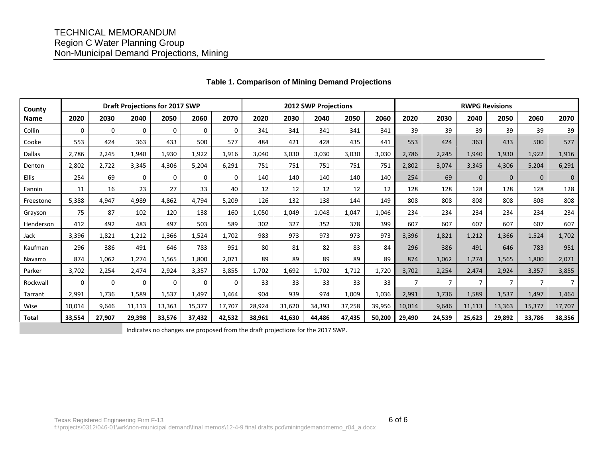# TECHNICAL MEMORANDUM Region C Water Planning Group Non-Municipal Demand Projections, Mining

| County        | <b>Draft Projections for 2017 SWP</b> |             |             |        |              | 2012 SWP Projections |        |        |        |        | <b>RWPG Revisions</b> |                |                |                |                |                |                |
|---------------|---------------------------------------|-------------|-------------|--------|--------------|----------------------|--------|--------|--------|--------|-----------------------|----------------|----------------|----------------|----------------|----------------|----------------|
| <b>Name</b>   | 2020                                  | 2030        | 2040        | 2050   | 2060         | 2070                 | 2020   | 2030   | 2040   | 2050   | 2060                  | 2020           | 2030           | 2040           | 2050           | 2060           | 2070           |
| Collin        | $\mathbf 0$                           | $\mathbf 0$ | 0           | 0      | 0            | $\Omega$             | 341    | 341    | 341    | 341    | 341                   | 39             | 39             | 39             | 39             | 39             | 39             |
| Cooke         | 553                                   | 424         | 363         | 433    | 500          | 577                  | 484    | 421    | 428    | 435    | 441                   | 553            | 424            | 363            | 433            | 500            | 577            |
| <b>Dallas</b> | 2.786                                 | 2,245       | 1,940       | 1,930  | 1,922        | 1,916                | 3,040  | 3,030  | 3,030  | 3,030  | 3,030                 | 2,786          | 2,245          | 1,940          | 1,930          | 1,922          | 1,916          |
| Denton        | 2,802                                 | 2,722       | 3,345       | 4,306  | 5,204        | 6,291                | 751    | 751    | 751    | 751    | 751                   | 2,802          | 3,074          | 3,345          | 4,306          | 5,204          | 6,291          |
| <b>Ellis</b>  | 254                                   | 69          | $\mathbf 0$ | 0      | $\Omega$     | 0                    | 140    | 140    | 140    | 140    | 140                   | 254            | 69             | $\mathbf{0}$   | $\mathbf{0}$   | $\mathbf{0}$   | $\mathbf 0$    |
| Fannin        | 11                                    | 16          | 23          | 27     | 33           | 40                   | 12     | 12     | 12     | 12     | 12                    | 128            | 128            | 128            | 128            | 128            | 128            |
| Freestone     | 5,388                                 | 4,947       | 4,989       | 4,862  | 4,794        | 5,209                | 126    | 132    | 138    | 144    | 149                   | 808            | 808            | 808            | 808            | 808            | 808            |
| Grayson       | 75                                    | 87          | 102         | 120    | 138          | 160                  | 1,050  | 1,049  | 1,048  | 1,047  | 1.046                 | 234            | 234            | 234            | 234            | 234            | 234            |
| Henderson     | 412                                   | 492         | 483         | 497    | 503          | 589                  | 302    | 327    | 352    | 378    | 399                   | 607            | 607            | 607            | 607            | 607            | 607            |
| Jack          | 3,396                                 | 1.821       | 1,212       | 1,366  | 1,524        | 1,702                | 983    | 973    | 973    | 973    | 973                   | 3,396          | 1,821          | 1,212          | 1,366          | 1,524          | 1,702          |
| Kaufman       | 296                                   | 386         | 491         | 646    | 783          | 951                  | 80     | 81     | 82     | 83     | 84                    | 296            | 386            | 491            | 646            | 783            | 951            |
| Navarro       | 874                                   | 1,062       | 1,274       | 1,565  | 1,800        | 2,071                | 89     | 89     | 89     | 89     | 89                    | 874            | 1,062          | 1,274          | 1,565          | 1,800          | 2,071          |
| Parker        | 3,702                                 | 2,254       | 2,474       | 2,924  | 3,357        | 3,855                | 1,702  | 1,692  | 1,702  | 1,712  | 1,720                 | 3,702          | 2,254          | 2,474          | 2,924          | 3,357          | 3,855          |
| Rockwall      | 0                                     | 0           | $\mathbf 0$ | 0      | $\mathbf{0}$ | $\mathbf 0$          | 33     | 33     | 33     | 33     | 33                    | $\overline{7}$ | $\overline{7}$ | $\overline{7}$ | $\overline{7}$ | $\overline{7}$ | $\overline{7}$ |
| Tarrant       | 2,991                                 | 1,736       | 1,589       | 1,537  | 1,497        | 1,464                | 904    | 939    | 974    | 1,009  | 1,036                 | 2,991          | 1,736          | 1,589          | 1,537          | 1,497          | 1,464          |
| Wise          | 10,014                                | 9.646       | 11,113      | 13,363 | 15,377       | 17,707               | 28,924 | 31,620 | 34,393 | 37,258 | 39,956                | 10,014         | 9,646          | 11,113         | 13,363         | 15,377         | 17,707         |
| <b>Total</b>  | 33,554                                | 27,907      | 29,398      | 33,576 | 37,432       | 42,532               | 38,961 | 41,630 | 44,486 | 47,435 | 50,200                | 29,490         | 24,539         | 25,623         | 29,892         | 33,786         | 38,356         |

## **Table 1. Comparison of Mining Demand Projections**

Indicates no changes are proposed from the draft projections for the 2017 SWP.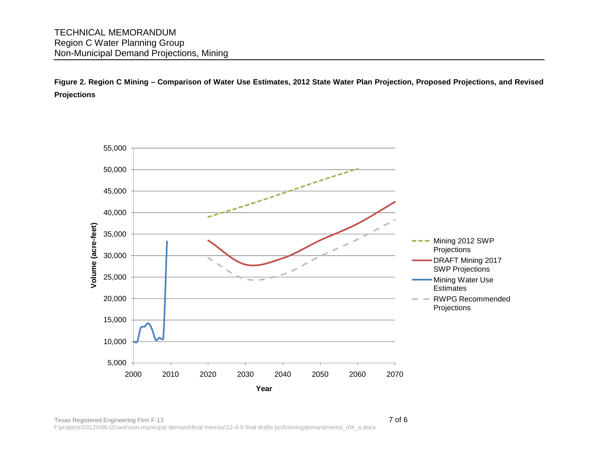**Figure 2. Region C Mining – Comparison of Water Use Estimates, 2012 State Water Plan Projection, Proposed Projections, and Revised Projections** 

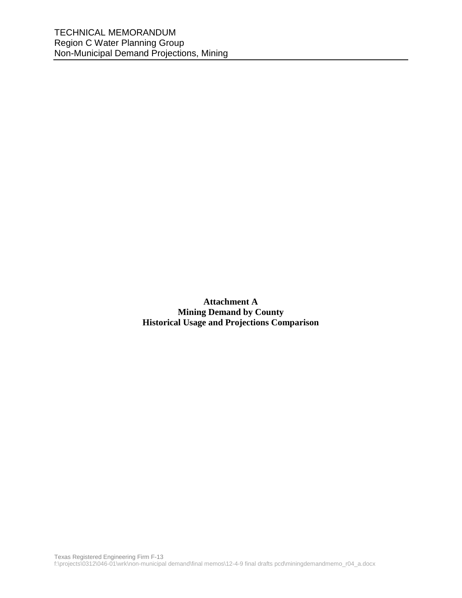**Attachment A Mining Demand by County Historical Usage and Projections Comparison**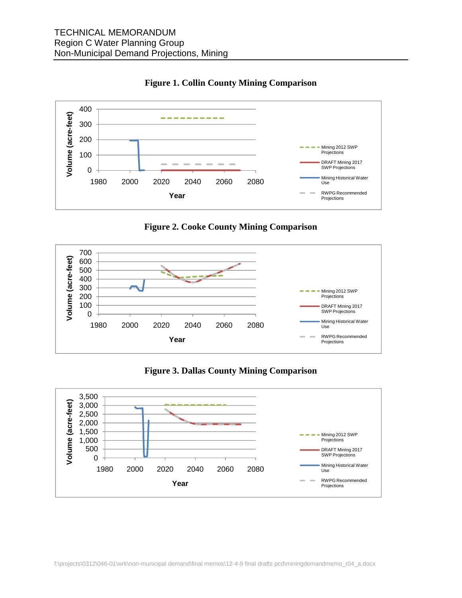

**Figure 1. Collin County Mining Comparison** 





**Figure 3. Dallas County Mining Comparison** 

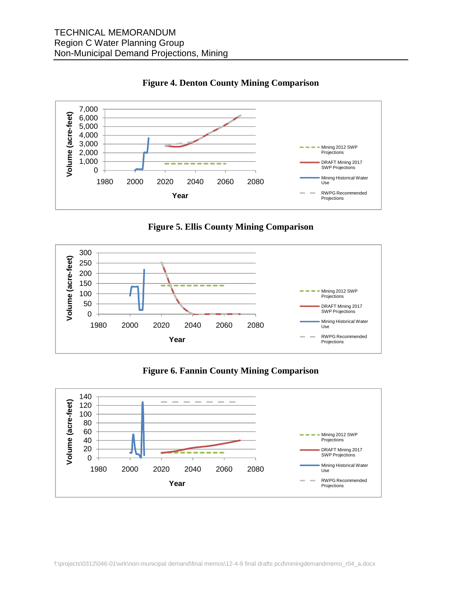

**Figure 4. Denton County Mining Comparison** 





**Figure 6. Fannin County Mining Comparison** 

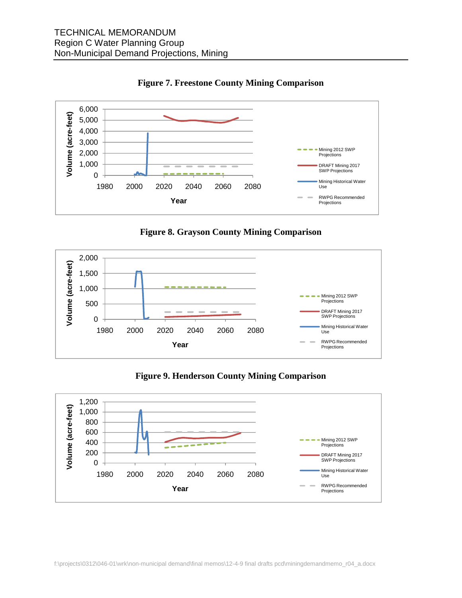

**Figure 7. Freestone County Mining Comparison** 





**Figure 9. Henderson County Mining Comparison** 

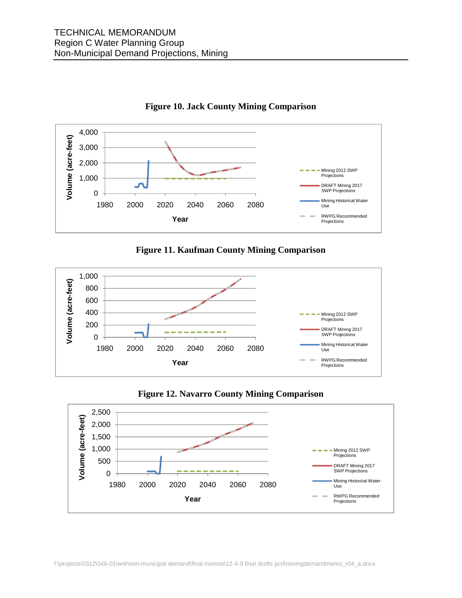



**Figure 11. Kaufman County Mining Comparison** 





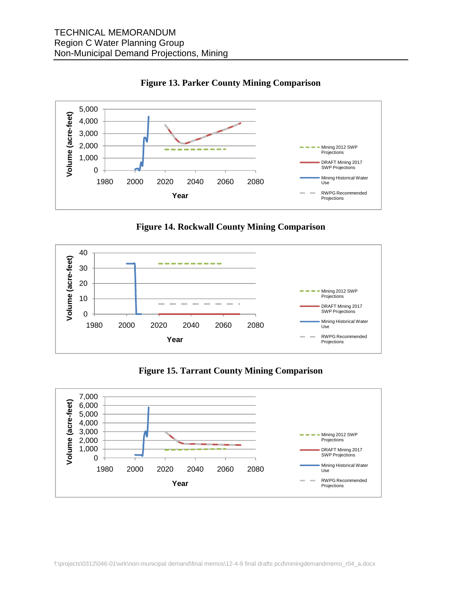

**Figure 13. Parker County Mining Comparison** 





**Figure 15. Tarrant County Mining Comparison**